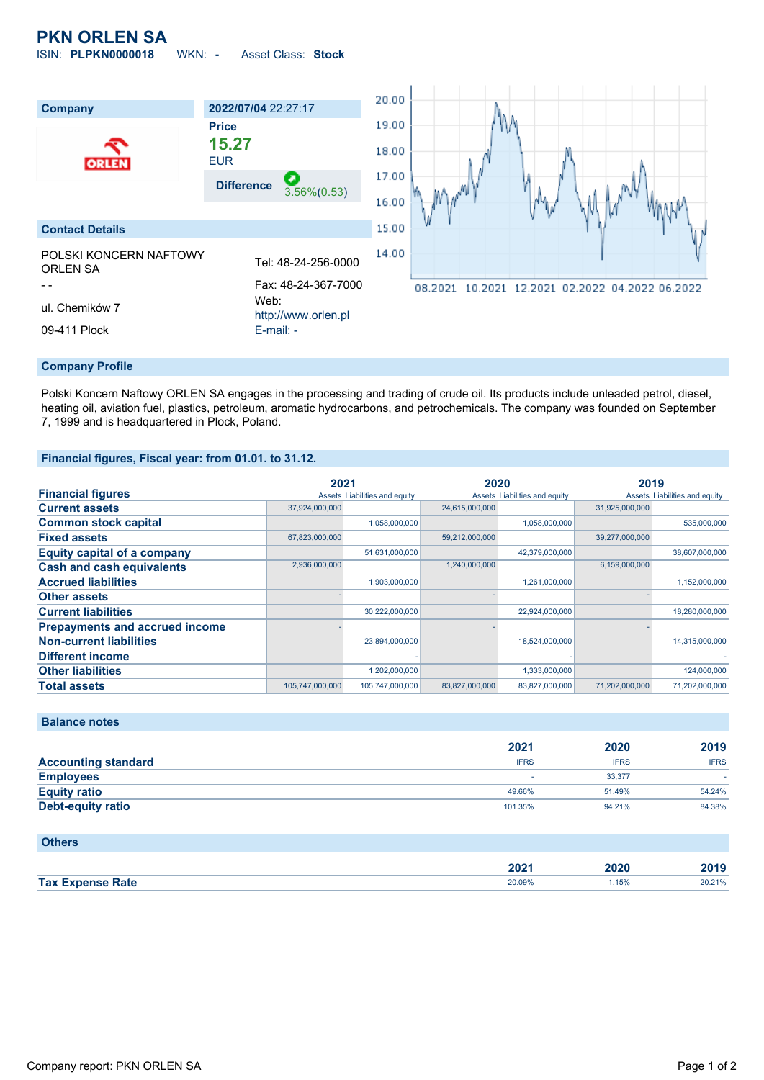# **PKN ORLEN SA**

ISIN: **PLPKN0000018** WKN: **-** Asset Class: **Stock**



#### **Company Profile**

Polski Koncern Naftowy ORLEN SA engages in the processing and trading of crude oil. Its products include unleaded petrol, diesel, heating oil, aviation fuel, plastics, petroleum, aromatic hydrocarbons, and petrochemicals. The company was founded on September 7, 1999 and is headquartered in Plock, Poland.

#### **Financial figures, Fiscal year: from 01.01. to 31.12.**

|                                       | 2021            |                               | 2020           |                               | 2019           |                               |
|---------------------------------------|-----------------|-------------------------------|----------------|-------------------------------|----------------|-------------------------------|
| <b>Financial figures</b>              |                 | Assets Liabilities and equity |                | Assets Liabilities and equity |                | Assets Liabilities and equity |
| <b>Current assets</b>                 | 37,924,000,000  |                               | 24,615,000,000 |                               | 31.925.000.000 |                               |
| <b>Common stock capital</b>           |                 | 1,058,000,000                 |                | 1,058,000,000                 |                | 535,000,000                   |
| <b>Fixed assets</b>                   | 67,823,000,000  |                               | 59,212,000,000 |                               | 39,277,000,000 |                               |
| <b>Equity capital of a company</b>    |                 | 51,631,000,000                |                | 42,379,000,000                |                | 38,607,000,000                |
| <b>Cash and cash equivalents</b>      | 2,936,000,000   |                               | 1,240,000,000  |                               | 6,159,000,000  |                               |
| <b>Accrued liabilities</b>            |                 | 1,903,000,000                 |                | 1,261,000,000                 |                | 1,152,000,000                 |
| <b>Other assets</b>                   |                 |                               |                |                               |                |                               |
| <b>Current liabilities</b>            |                 | 30,222,000,000                |                | 22,924,000,000                |                | 18,280,000,000                |
| <b>Prepayments and accrued income</b> |                 |                               |                |                               |                |                               |
| <b>Non-current liabilities</b>        |                 | 23,894,000,000                |                | 18,524,000,000                |                | 14,315,000,000                |
| <b>Different income</b>               |                 |                               |                |                               |                |                               |
| <b>Other liabilities</b>              |                 | 1,202,000,000                 |                | 1,333,000,000                 |                | 124,000,000                   |
| <b>Total assets</b>                   | 105,747,000,000 | 105,747,000,000               | 83,827,000,000 | 83,827,000,000                | 71.202.000.000 | 71,202,000,000                |

### **Balance notes**

|                            | 2021        | 2020        | 2019        |
|----------------------------|-------------|-------------|-------------|
| <b>Accounting standard</b> | <b>IFRS</b> | <b>IFRS</b> | <b>IFRS</b> |
| <b>Employees</b>           |             | 33.377      |             |
| <b>Equity ratio</b>        | 49.66%      | 51.49%      | 54.24%      |
| <b>Debt-equity ratio</b>   | 101.35%     | 94.21%      | 84.38%      |

#### **Others**

|                    | 000<br>ZUZ  | nor<br>JAV | .      |
|--------------------|-------------|------------|--------|
| <b>Tax</b><br>Rate | 20.09%<br>. | 1.15%      | 20.21% |